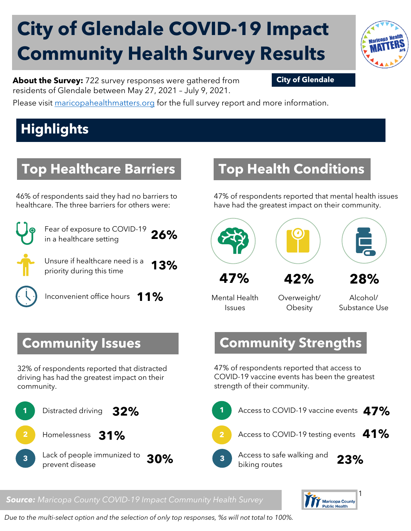# **City of Glendale COVID-19 Impact Community Health Survey Results**



**About the Survey:** 722 survey responses were gathered from **City of Glendale** residents of Glendale between May 27, 2021 – July 9, 2021.

Please visit [maricopahealthmatters.org](https://www.maricopa.gov/5100/Health-Data-Maricopa-Health-Matters) for the full survey report and more information.

## **Highlights**

### **Top Healthcare Barriers**

46% of respondents said they had no barriers to healthcare. The three barriers for others were:



Fear of exposure to COVID-19 in a healthcare setting **26%**

Unsure if healthcare need is a priority during this time **13%**

Inconvenient office hours **11%**

#### **Community Issues**

32% of respondents reported that distracted driving has had the greatest impact on their community.



### **Top Health Conditions**

47% of respondents reported that mental health issues have had the greatest impact on their community.



Mental Health Issues

Overweight/ **Obesity** 

Alcohol/ Substance Use

#### **Community Strengths**

47% of respondents reported that access to COVID-19 vaccine events has been the greatest strength of their community.



#### *Source: Maricopa County COVID-19 Impact Community Health Survey*



*Due to the multi-select option and the selection of only top responses, %s will not total to 100%.*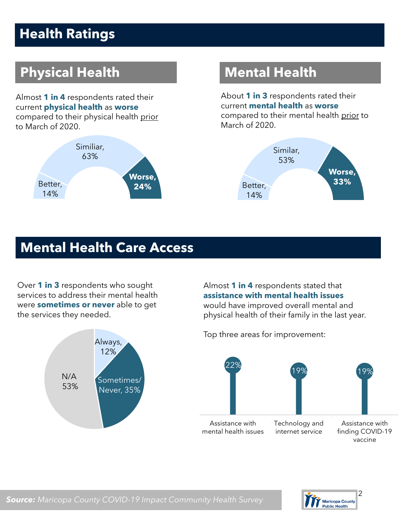### **Health Ratings**

### **Physical Health Mental Health**

Almost **1 in 4** respondents rated their current **physical health** as **worse** compared to their physical health prior to March of 2020.



About **1 in 3** respondents rated their current **mental health** as **worse**  compared to their mental health prior to March of 2020.



#### **Mental Health Care Access**

Over **1 in 3** respondents who sought services to address their mental health were **sometimes or never** able to get the services they needed.



Almost **1 in 4** respondents stated that **assistance with mental health issues**  would have improved overall mental and physical health of their family in the last year.

Top three areas for improvement:



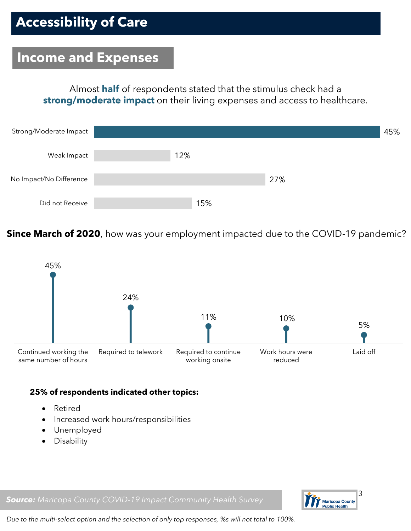#### **Income and Expenses**

Almost **half** of respondents stated that the stimulus check had a **strong/moderate impact** on their living expenses and access to healthcare.



**Since March of 2020**, how was your employment impacted due to the COVID-19 pandemic?



#### **25% of respondents indicated other topics:**

- Retired
- Increased work hours/responsibilities
- Unemployed
- Disability

Maricopa County<br>Public Health

#### *Source: Maricopa County COVID-19 Impact Community Health Survey*

*Due to the multi-select option and the selection of only top responses, %s will not total to 100%.*